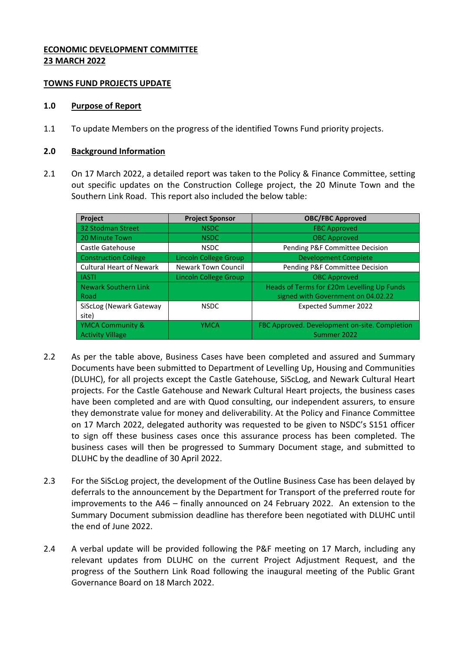# **ECONOMIC DEVELOPMENT COMMITTEE 23 MARCH 2022**

### **TOWNS FUND PROJECTS UPDATE**

### **1.0 Purpose of Report**

1.1 To update Members on the progress of the identified Towns Fund priority projects.

### **2.0 Background Information**

2.1 On 17 March 2022, a detailed report was taken to the Policy & Finance Committee, setting out specific updates on the Construction College project, the 20 Minute Town and the Southern Link Road. This report also included the below table:

| Project                         | <b>Project Sponsor</b>       | <b>OBC/FBC Approved</b>                       |
|---------------------------------|------------------------------|-----------------------------------------------|
| 32 Stodman Street               | <b>NSDC</b>                  | <b>FBC Approved</b>                           |
| 20 Minute Town                  | <b>NSDC</b>                  | <b>OBC Approved</b>                           |
| Castle Gatehouse                | <b>NSDC</b>                  | Pending P&F Committee Decision                |
| <b>Construction College</b>     | Lincoln College Group        | <b>Development Complete</b>                   |
| <b>Cultural Heart of Newark</b> | Newark Town Council          | Pending P&F Committee Decision                |
| <b>IASTI</b>                    | <b>Lincoln College Group</b> | <b>OBC Approved</b>                           |
| <b>Newark Southern Link</b>     |                              | Heads of Terms for £20m Levelling Up Funds    |
| Road                            |                              | signed with Government on 04.02.22            |
| SiScLog (Newark Gateway         | <b>NSDC</b>                  | <b>Expected Summer 2022</b>                   |
| site)                           |                              |                                               |
| <b>YMCA Community &amp;</b>     | <b>YMCA</b>                  | FBC Approved. Development on-site. Completion |
| <b>Activity Village</b>         |                              | Summer 2022                                   |

- 2.2 As per the table above, Business Cases have been completed and assured and Summary Documents have been submitted to Department of Levelling Up, Housing and Communities (DLUHC), for all projects except the Castle Gatehouse, SiScLog, and Newark Cultural Heart projects. For the Castle Gatehouse and Newark Cultural Heart projects, the business cases have been completed and are with Quod consulting, our independent assurers, to ensure they demonstrate value for money and deliverability. At the Policy and Finance Committee on 17 March 2022, delegated authority was requested to be given to NSDC's S151 officer to sign off these business cases once this assurance process has been completed. The business cases will then be progressed to Summary Document stage, and submitted to DLUHC by the deadline of 30 April 2022.
- 2.3 For the SiScLog project, the development of the Outline Business Case has been delayed by deferrals to the announcement by the Department for Transport of the preferred route for improvements to the A46 – finally announced on 24 February 2022. An extension to the Summary Document submission deadline has therefore been negotiated with DLUHC until the end of June 2022.
- 2.4 A verbal update will be provided following the P&F meeting on 17 March, including any relevant updates from DLUHC on the current Project Adjustment Request, and the progress of the Southern Link Road following the inaugural meeting of the Public Grant Governance Board on 18 March 2022.